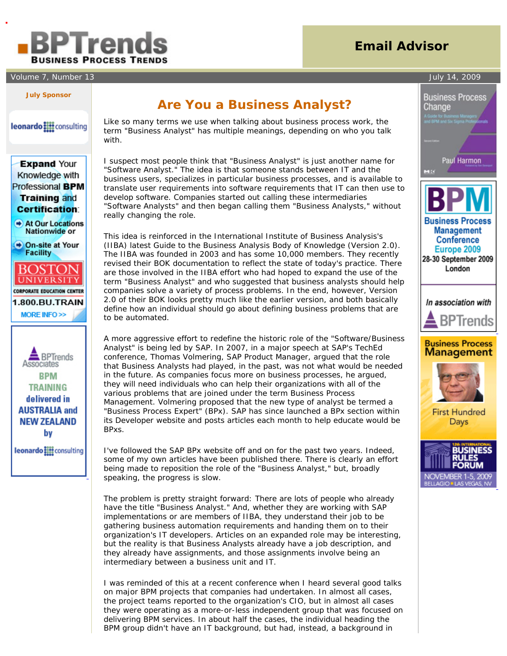## **BPTrend**

Volume 7, Number 13 July 14, 2009

**July Sponsor**

leonardo : consulting

**Expand Your** Knowledge with **Professional BPM Training and Certification:** 

At Our Locations

Nationwide or

♦ On-site at Your

)STC **UNIVERSIT CORPORATE EDUCATION CENTER** 1.800.BU.TRAIN

**MORE INFO>>** 

Associates **BPM TRAINING** delivered in **AUSTRALIA and** 

**NEW ZEALAND** 

by

leonardo :: consulting

**BPTrends** 

**Facility** 

## **Are You a Business Analyst?**

 Like so many terms we use when talking about business process work, the term "Business Analyst" has multiple meanings, depending on who you talk with.

I suspect most people think that "Business Analyst" is just another name for "Software Analyst." The idea is that someone stands between IT and the business users, specializes in particular business processes, and is available to translate user requirements into software requirements that IT can then use to develop software. Companies started out calling these intermediaries "Software Analysts" and then began calling them "Business Analysts," without really changing the role.

This idea is reinforced in the International Institute of Business Analysis's (IIBA) latest *Guide to the Business Analysis Body of Knowledge (Version 2.0)*. The IIBA was founded in 2003 and has some 10,000 members. They recently revised their BOK documentation to reflect the state of today's practice. There are those involved in the IIBA effort who had hoped to expand the use of the term "Business Analyst" and who suggested that business analysts should help companies solve a variety of process problems. In the end, however, Version 2.0 of their BOK looks pretty much like the earlier version, and both basically define how an individual should go about defining business problems that are to be automated.

A more aggressive effort to redefine the historic role of the "Software/Business Analyst" is being led by SAP. In 2007, in a major speech at SAP's TechEd conference, Thomas Volmering, SAP Product Manager, argued that the role that Business Analysts had played, in the past, was not what would be needed in the future. As companies focus more on business processes, he argued, they will need individuals who can help their organizations with all of the various problems that are joined under the term Business Process Management. Volmering proposed that the new type of analyst be termed a "Business Process Expert" (BPx). SAP has since launched a BPx section within its Developer website and posts articles each month to help educate would be BPxs.

I've followed the SAP BPx website off and on for the past two years. Indeed, some of my own articles have been published there. There is clearly an effort being made to reposition the role of the "Business Analyst," but, broadly speaking, the progress is slow.

The problem is pretty straight forward: There are lots of people who already have the title "Business Analyst." And, whether they are working with SAP implementations or are members of IIBA, they understand their job to be gathering business automation requirements and handing them on to their organization's IT developers. Articles on an expanded role may be interesting, but the reality is that Business Analysts already have a job description, and they already have assignments, and those assignments involve being an intermediary between a business unit and IT.

I was reminded of this at a recent conference when I heard several good talks on major BPM projects that companies had undertaken. In almost all cases, the project teams reported to the organization's CIO, but in almost all cases they were operating as a more-or-less independent group that was focused on delivering BPM services. In about half the cases, the individual heading the BPM group didn't have an IT background, but had, instead, a background in

## **Email Advisor**

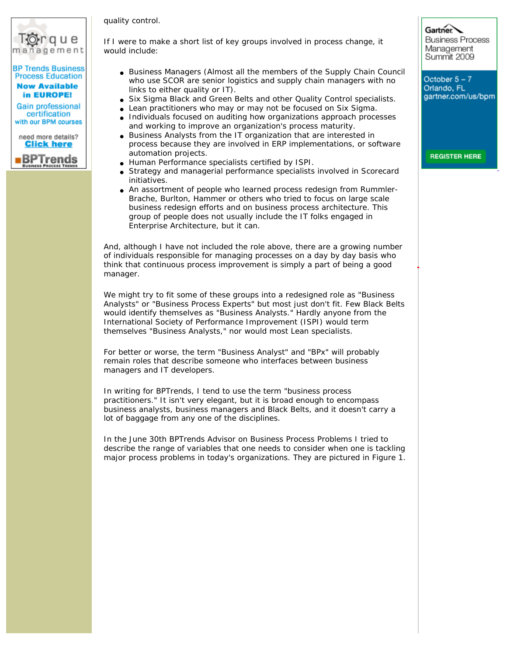

**BP Trends Business Process Education Now Available** in EUROPE!

Gain professional certification with our BPM courses

need more details? **Click here** 



quality control.

If I were to make a short list of key groups involved in process change, it would include:

- Business Managers (Almost all the members of the Supply Chain Council who use SCOR are senior logistics and supply chain managers with no links to either quality or IT).
- Six Sigma Black and Green Belts and other Quality Control specialists.
- Lean practitioners who may or may not be focused on Six Sigma.
- Individuals focused on auditing how organizations approach processes and working to improve an organization's process maturity.
- Business Analysts from the IT organization that are interested in process because they are involved in ERP implementations, or software automation projects.
- Human Performance specialists certified by ISPI.
- Strategy and managerial performance specialists involved in Scorecard initiatives.
- An assortment of people who learned process redesign from Rummler-Brache, Burlton, Hammer or others who tried to focus on large scale business redesign efforts and on business process architecture. This group of people does not usually include the IT folks engaged in Enterprise Architecture, but it can.

And, although I have not included the role above, there are a growing number of individuals responsible for managing processes on a day by day basis who think that continuous process improvement is simply a part of being a good manager.

We might try to fit some of these groups into a redesigned role as "Business Analysts" or "Business Process Experts" but most just don't fit. Few Black Belts would identify themselves as "Business Analysts." Hardly anyone from the International Society of Performance Improvement (ISPI) would term themselves "Business Analysts," nor would most Lean specialists.

For better or worse, the term "Business Analyst" and "BPx" will probably remain roles that describe someone who interfaces between business managers and IT developers.

In writing for BPTrends, I tend to use the term "business process practitioners." It isn't very elegant, but it is broad enough to encompass business analysts, business managers and Black Belts, and it doesn't carry a lot of baggage from any one of the disciplines.

In the June 30th BPTrends Advisor on Business Process Problems I tried to describe the range of variables that one needs to consider when one is tackling major process problems in today's organizations. They are pictured in Figure 1. Gartner **Business Process** Management Summit 2009

October  $5 - 7$ Orlando, FL gartner.com/us/bpm

**REGISTER HERE**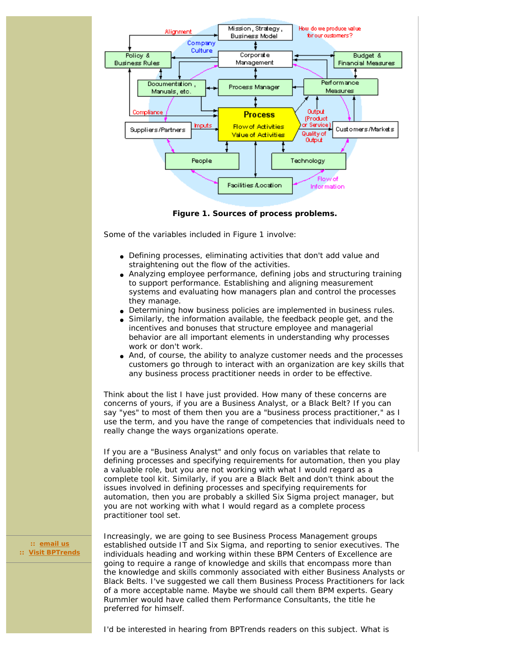

**Figure 1. Sources of process problems.**

Some of the variables included in Figure 1 involve:

- Defining processes, eliminating activities that don't add value and straightening out the flow of the activities.
- Analyzing employee performance, defining jobs and structuring training to support performance. Establishing and aligning measurement systems and evaluating how managers plan and control the processes they manage.
- Determining how business policies are implemented in business rules.
- Similarly, the information available, the feedback people get, and the incentives and bonuses that structure employee and managerial behavior are all important elements in understanding why processes work or don't work.
- And, of course, the ability to analyze customer needs and the processes customers go through to interact with an organization are key skills that any business process practitioner needs in order to be effective.

Think about the list I have just provided. How many of these concerns are concerns of yours, if you are a Business Analyst, or a Black Belt? If you can say "yes" to most of them then you are a "business process practitioner," as I use the term, and you have the range of competencies that individuals need to really change the ways organizations operate.

If you are a "Business Analyst" and only focus on variables that relate to defining processes and specifying requirements for automation, then you play a valuable role, but you are not working with what I would regard as a complete tool kit. Similarly, if you are a Black Belt and don't think about the issues involved in defining processes and specifying requirements for automation, then you are probably a skilled Six Sigma project manager, but you are not working with what I would regard as a complete process practitioner tool set.

 **:: [email us](mailto:cwolf@bptrends.com) :: [Visit BPTrends](http://www.bptrends.com/)** Increasingly, we are going to see Business Process Management groups established outside IT and Six Sigma, and reporting to senior executives. The individuals heading and working within these BPM Centers of Excellence are going to require a range of knowledge and skills that encompass more than the knowledge and skills commonly associated with either Business Analysts or Black Belts. I've suggested we call them Business Process Practitioners for lack of a more acceptable name. Maybe we should call them BPM experts. Geary Rummler would have called them Performance Consultants, the title he preferred for himself.